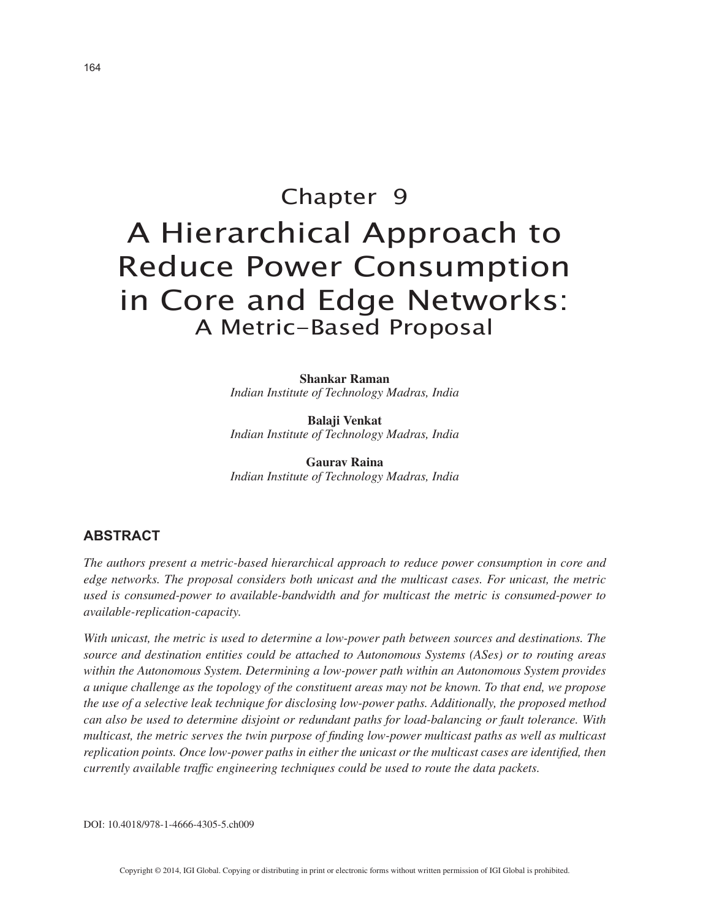# Chapter 9 A Hierarchical Approach to Reduce Power Consumption in Core and Edge Networks: A Metric-Based Proposal

**Shankar Raman** *Indian Institute of Technology Madras, India*

**Balaji Venkat** *Indian Institute of Technology Madras, India*

**Gaurav Raina** *Indian Institute of Technology Madras, India*

## **ABSTRACT**

*The authors present a metric-based hierarchical approach to reduce power consumption in core and edge networks. The proposal considers both unicast and the multicast cases. For unicast, the metric used is consumed-power to available-bandwidth and for multicast the metric is consumed-power to available-replication-capacity.*

*With unicast, the metric is used to determine a low-power path between sources and destinations. The source and destination entities could be attached to Autonomous Systems (ASes) or to routing areas within the Autonomous System. Determining a low-power path within an Autonomous System provides a unique challenge as the topology of the constituent areas may not be known. To that end, we propose the use of a selective leak technique for disclosing low-power paths. Additionally, the proposed method can also be used to determine disjoint or redundant paths for load-balancing or fault tolerance. With multicast, the metric serves the twin purpose of finding low-power multicast paths as well as multicast replication points. Once low-power paths in either the unicast or the multicast cases are identified, then currently available traffic engineering techniques could be used to route the data packets.*

DOI: 10.4018/978-1-4666-4305-5.ch009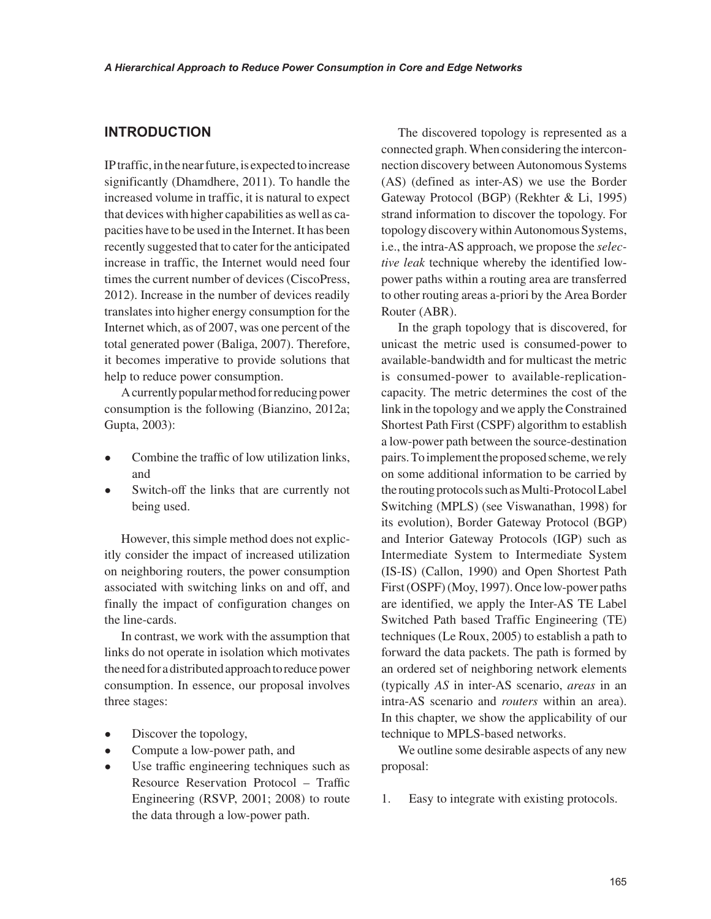### **INTRODUCTION**

IP traffic, in the near future, is expected to increase significantly (Dhamdhere, 2011). To handle the increased volume in traffic, it is natural to expect that devices with higher capabilities as well as capacities have to be used in the Internet. It has been recently suggested that to cater for the anticipated increase in traffic, the Internet would need four times the current number of devices (CiscoPress, 2012). Increase in the number of devices readily translates into higher energy consumption for the Internet which, as of 2007, was one percent of the total generated power (Baliga, 2007). Therefore, it becomes imperative to provide solutions that help to reduce power consumption.

A currently popular method for reducing power consumption is the following (Bianzino, 2012a; Gupta, 2003):

- Combine the traffic of low utilization links, and
- Switch-off the links that are currently not being used.

However, this simple method does not explicitly consider the impact of increased utilization on neighboring routers, the power consumption associated with switching links on and off, and finally the impact of configuration changes on the line-cards.

In contrast, we work with the assumption that links do not operate in isolation which motivates the need for a distributed approach to reduce power consumption. In essence, our proposal involves three stages:

- Discover the topology,
- Compute a low-power path, and
- Use traffic engineering techniques such as Resource Reservation Protocol – Traffic Engineering (RSVP, 2001; 2008) to route the data through a low-power path.

The discovered topology is represented as a connected graph. When considering the interconnection discovery between Autonomous Systems (AS) (defined as inter-AS) we use the Border Gateway Protocol (BGP) (Rekhter & Li, 1995) strand information to discover the topology. For topology discovery within Autonomous Systems, i.e., the intra-AS approach, we propose the *selective leak* technique whereby the identified lowpower paths within a routing area are transferred to other routing areas a-priori by the Area Border Router (ABR).

In the graph topology that is discovered, for unicast the metric used is consumed-power to available-bandwidth and for multicast the metric is consumed-power to available-replicationcapacity. The metric determines the cost of the link in the topology and we apply the Constrained Shortest Path First (CSPF) algorithm to establish a low-power path between the source-destination pairs. To implement the proposed scheme, we rely on some additional information to be carried by the routing protocols such as Multi-Protocol Label Switching (MPLS) (see Viswanathan, 1998) for its evolution), Border Gateway Protocol (BGP) and Interior Gateway Protocols (IGP) such as Intermediate System to Intermediate System (IS-IS) (Callon, 1990) and Open Shortest Path First (OSPF) (Moy, 1997). Once low-power paths are identified, we apply the Inter-AS TE Label Switched Path based Traffic Engineering (TE) techniques (Le Roux, 2005) to establish a path to forward the data packets. The path is formed by an ordered set of neighboring network elements (typically *AS* in inter-AS scenario, *areas* in an intra-AS scenario and *routers* within an area). In this chapter, we show the applicability of our technique to MPLS-based networks.

We outline some desirable aspects of any new proposal:

1. Easy to integrate with existing protocols.